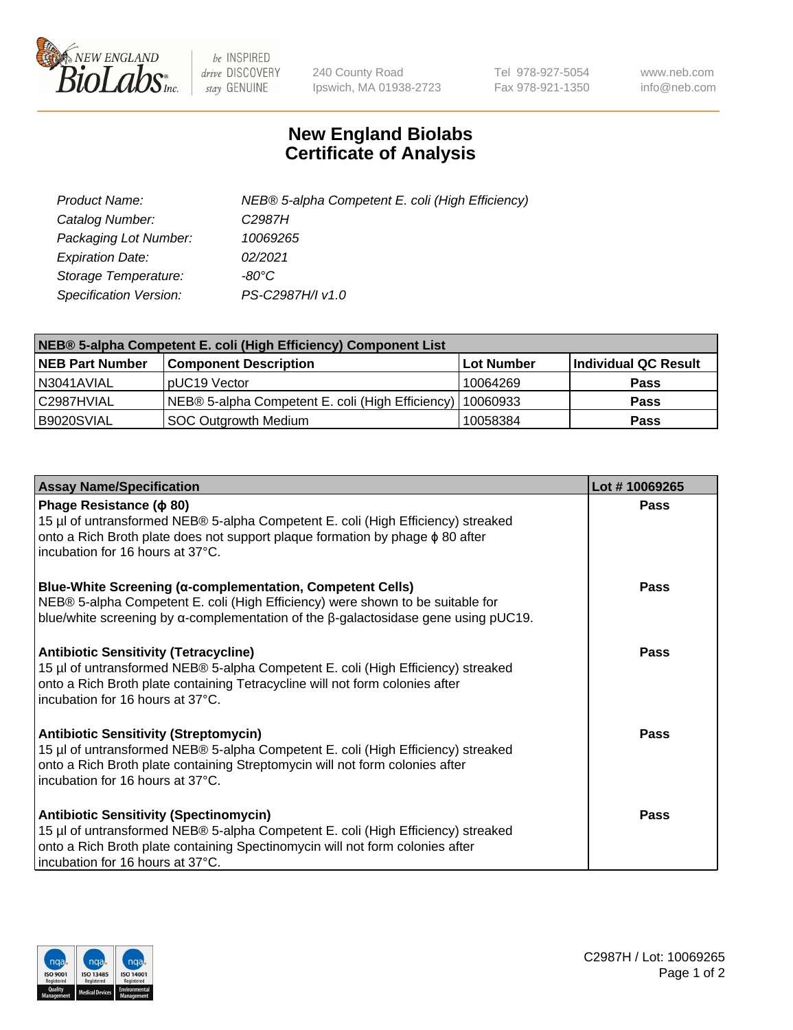

 $be$  INSPIRED drive DISCOVERY stay GENUINE

240 County Road Ipswich, MA 01938-2723 Tel 978-927-5054 Fax 978-921-1350 www.neb.com info@neb.com

## **New England Biolabs Certificate of Analysis**

| Product Name:           | NEB® 5-alpha Competent E. coli (High Efficiency) |
|-------------------------|--------------------------------------------------|
| Catalog Number:         | C <sub>2987</sub> H                              |
| Packaging Lot Number:   | 10069265                                         |
| <b>Expiration Date:</b> | 02/2021                                          |
| Storage Temperature:    | -80°C                                            |
| Specification Version:  | PS-C2987H/I v1.0                                 |

| NEB® 5-alpha Competent E. coli (High Efficiency) Component List |                                                  |                   |                      |  |
|-----------------------------------------------------------------|--------------------------------------------------|-------------------|----------------------|--|
| <b>NEB Part Number</b>                                          | <b>Component Description</b>                     | <b>Lot Number</b> | Individual QC Result |  |
| N3041AVIAL                                                      | pUC19 Vector                                     | 10064269          | <b>Pass</b>          |  |
| C2987HVIAL                                                      | NEB® 5-alpha Competent E. coli (High Efficiency) | 10060933          | <b>Pass</b>          |  |
| B9020SVIAL                                                      | <b>SOC Outgrowth Medium</b>                      | 10058384          | <b>Pass</b>          |  |

| <b>Assay Name/Specification</b>                                                                                                                                                                                                                         | Lot #10069265 |
|---------------------------------------------------------------------------------------------------------------------------------------------------------------------------------------------------------------------------------------------------------|---------------|
| Phage Resistance ( $\phi$ 80)<br>15 µl of untransformed NEB® 5-alpha Competent E. coli (High Efficiency) streaked<br>onto a Rich Broth plate does not support plaque formation by phage $\phi$ 80 after<br>incubation for 16 hours at 37°C.             | Pass          |
| <b>Blue-White Screening (α-complementation, Competent Cells)</b><br>NEB® 5-alpha Competent E. coli (High Efficiency) were shown to be suitable for<br>blue/white screening by $\alpha$ -complementation of the $\beta$ -galactosidase gene using pUC19. | Pass          |
| <b>Antibiotic Sensitivity (Tetracycline)</b><br>15 µl of untransformed NEB® 5-alpha Competent E. coli (High Efficiency) streaked<br>onto a Rich Broth plate containing Tetracycline will not form colonies after<br>incubation for 16 hours at 37°C.    | <b>Pass</b>   |
| <b>Antibiotic Sensitivity (Streptomycin)</b><br>15 µl of untransformed NEB® 5-alpha Competent E. coli (High Efficiency) streaked<br>onto a Rich Broth plate containing Streptomycin will not form colonies after<br>incubation for 16 hours at 37°C.    | Pass          |
| <b>Antibiotic Sensitivity (Spectinomycin)</b><br>15 µl of untransformed NEB® 5-alpha Competent E. coli (High Efficiency) streaked<br>onto a Rich Broth plate containing Spectinomycin will not form colonies after<br>incubation for 16 hours at 37°C.  | Pass          |